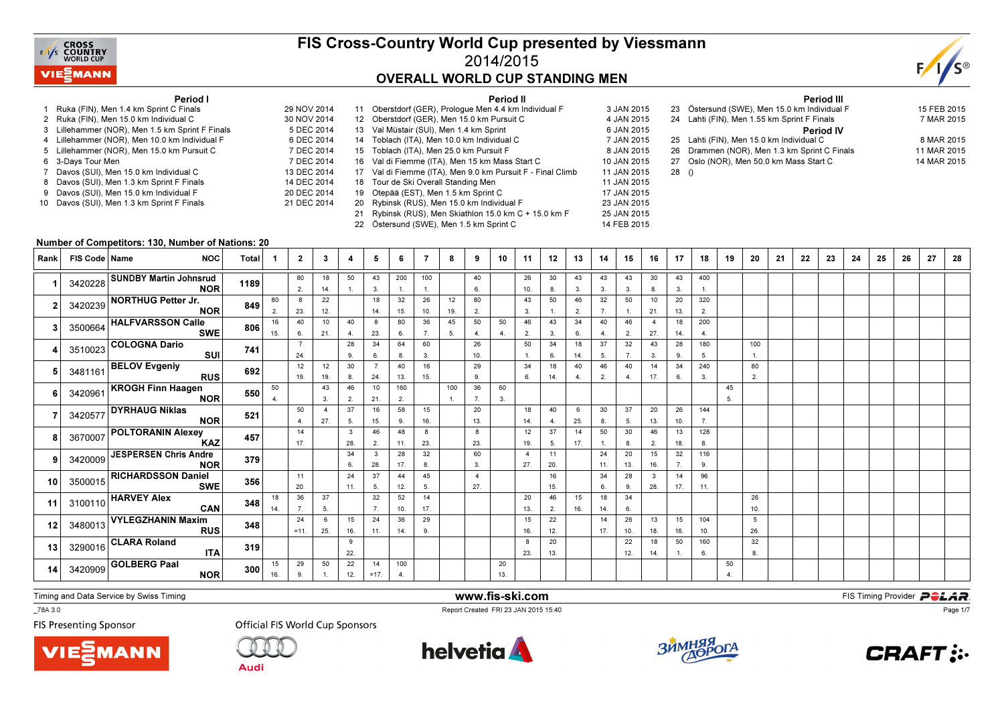

## FIS Cross-Country World Cup presented by Viessmann2014/2015OVERALL WORLD CUP STANDING MEN

14 FEB 2015



#### Period I

30 NOV 2014

5 DEC 2014

6 DEC 2014

7 DEC 2014

14 DEC 2014

20 DEC 2014

21 DEC 2014

- 1 Ruka (FIN), Men 1.4 km Sprint C Finals 29 NOV 20142 Ruka (FIN), Men 15.0 km Individual C
- 3 Lillehammer (NOR), Men 1.5 km Sprint F Finals
- 4 Lillehammer (NOR), Men 10.0 km Individual F
- 5 Lillehammer (NOR), Men 15.0 km Pursuit C
- 6 3-Days Tour Men
- n 7 DEC 2014 7 Davos (SUI), Men 15.0 km Individual C 13 DEC 2014
- 8 Davos (SUI), Men 1.3 km Sprint F Finals
- 9 Davos (SUI), Men 15.0 km Individual F
- 10 Davos (SUI), Men 1.3 km Sprint F Finals

|    | Period II                                                  |             |
|----|------------------------------------------------------------|-------------|
| 11 | Oberstdorf (GER), Prologue Men 4.4 km Individual F         | 3 JAN 2015  |
|    | 12 Oberstdorf (GER), Men 15.0 km Pursuit C                 | 4 JAN 2015  |
|    | 13 Val Müstair (SUI), Men 1.4 km Sprint                    | 6 JAN 2015  |
|    | 14 Toblach (ITA), Men 10.0 km Individual C                 | 7 JAN 2015  |
|    | 15 Toblach (ITA), Men 25.0 km Pursuit F                    | 8 JAN 2015  |
|    | 16 Val di Fiemme (ITA), Men 15 km Mass Start C             | 10 JAN 2015 |
|    | 17 Val di Fiemme (ITA), Men 9.0 km Pursuit F - Final Climb | 11 JAN 2015 |
|    | 18 Tour de Ski Overall Standing Men                        | 11 JAN 2015 |
| 19 | Otepää (EST), Men 1.5 km Sprint C                          | 17 JAN 2015 |
| 20 | Rybinsk (RUS), Men 15.0 km Individual F                    | 23 JAN 2015 |
| 21 | Rybinsk (RUS), Men Skiathlon 15.0 km C + 15.0 km F         | 25 JAN 2015 |
|    |                                                            |             |

22 Östersund (SWE), Men 1.5 km Sprint C

|      | <b>Period III</b>                           |             |
|------|---------------------------------------------|-------------|
| 23   | Östersund (SWE), Men 15.0 km Individual F   | 15 FEB 2015 |
|      | 24 Lahti (FIN), Men 1.55 km Sprint F Finals | 7 MAR 2015  |
|      | <b>Period IV</b>                            |             |
|      | 25 Lahti (FIN), Men 15.0 km Individual C    | 8 MAR 2015  |
| 26   | Drammen (NOR), Men 1.3 km Sprint C Finals   | 11 MAR 2015 |
| 27   | Oslo (NOR), Men 50.0 km Mass Start C        | 14 MAR 2015 |
| 28() |                                             |             |

#### Number of Competitors: 130, Number of Nations: 20

| Rank | FIS Code   Name | <b>NOC</b>                                   | <b>Total</b> |           | $\mathbf{2}$          | 3                     | 4         | 5                     | 6         | 7         | 8                   | 9                     | 10        | 11        | 12        | 13        | 14        | 15        | 16                    | 17        | 18                  | 19                   | 20         | 21 | 22 | 23 | 24 | 25 | 26 | 27 | 28 |
|------|-----------------|----------------------------------------------|--------------|-----------|-----------------------|-----------------------|-----------|-----------------------|-----------|-----------|---------------------|-----------------------|-----------|-----------|-----------|-----------|-----------|-----------|-----------------------|-----------|---------------------|----------------------|------------|----|----|----|----|----|----|----|----|
|      |                 | 3420228 SUNDBY Martin Johnsrud<br><b>NOR</b> | 1189         |           | 80<br>2.              | 18<br>14.             | 50        | 43<br>3.              | 200<br>1. | 100<br>1. |                     | 40<br>6.              |           | 26<br>10. | 30<br>8.  | 43<br>3.  | 43<br>3.  | 43<br>3.  | 30<br>8.              | 43<br>3.  | 400<br>$\mathbf{1}$ |                      |            |    |    |    |    |    |    |    |    |
|      |                 | 3420239 NORTHUG Petter Jr.<br><b>NOR</b>     | 849          | 80<br>2.  | 8<br>23.              | 22<br>12.             |           | 18<br>14.             | 32<br>15. | 26<br>10. | 12<br>19.           | 80<br>2.              |           | 43<br>3.  | 50        | 46<br>2.  | 32<br>7.  | 50        | 10<br>21.             | 20<br>13. | 320<br>2.           |                      |            |    |    |    |    |    |    |    |    |
|      |                 | 3500664 HALFVARSSON Calle<br><b>SWE</b>      | 806          | 16<br>15. | 40<br>6.              | 10<br>21.             | 40<br>4.  | 8<br>23.              | 80<br>6.  | 36<br>7.  | 45<br>5.            | 50<br>4.              | 50<br>4.  | 46<br>2.  | 43<br>3.  | 34<br>6.  | 40<br>4.  | 46<br>2.  | $\overline{4}$<br>27. | 18<br>14. | 200<br>4.           |                      |            |    |    |    |    |    |    |    |    |
|      |                 | 3510023 COLOGNA Dario<br><b>SUI</b>          | 741          |           | $\overline{7}$<br>24. |                       | 28<br>9.  | 34<br>6.              | 64<br>8.  | 60<br>3.  |                     | 26<br>10.             |           | 50<br>1.  | 34<br>6.  | 18<br>14. | 37<br>5.  | 32<br>7.  | 43<br>3.              | 28<br>9.  | 180<br>5.           |                      | 100<br>-1. |    |    |    |    |    |    |    |    |
|      |                 | 3481161 BELOV Evgeniy<br>RUS                 | 692          |           | 12<br>19.             | 12<br>19.             | 30<br>8.  | $\overline{7}$<br>24. | 40<br>13. | 16<br>15. |                     | 29<br>9.              |           | 34<br>6.  | 18<br>14. | 40<br>4.  | 46<br>2.  | 40<br>4.  | 14<br>17.             | 34<br>6.  | 240<br>3.           |                      | 80<br>2.   |    |    |    |    |    |    |    |    |
|      |                 | 3420961 KROGH Finn Haagen<br><b>NOR</b>      | 550          | 50        |                       | 43<br>3.              | 46<br>2.  | 10<br>21.             | 160<br>2. |           | 100<br>$\mathbf{1}$ | 36<br>7.              | 60<br>3.  |           |           |           |           |           |                       |           |                     | 45<br>5.             |            |    |    |    |    |    |    |    |    |
|      | 3420577         | <b>DYRHAUG Niklas</b><br><b>NOR</b>          | 521          |           | 50<br>4.              | $\overline{4}$<br>27. | 37<br>5.  | 16<br>15.             | 58<br>9.  | 15<br>16. |                     | 20<br>13.             |           | 18<br>14. | 40<br>-4. | 6<br>25.  | 30<br>8.  | 37<br>5.  | 20<br>13.             | 26<br>10. | 144<br>7.           |                      |            |    |    |    |    |    |    |    |    |
|      |                 | 3670007 POLTORANIN Alexey<br><b>KAZ</b>      | 457          |           | 14<br>17.             |                       | 3<br>28.  | 46<br>2.              | 48<br>11. | 8<br>23.  |                     | 8<br>23.              |           | 12<br>19. | 37<br>5.  | 14<br>17. | 50        | 30<br>8.  | 46<br>2.              | 13<br>18. | 128<br>8.           |                      |            |    |    |    |    |    |    |    |    |
|      |                 | 3420009 JESPERSEN Chris Andre<br><b>NOR</b>  | 379          |           |                       |                       | 34<br>6.  | 3<br>28.              | 28<br>17. | 32<br>8.  |                     | 60<br>3.              |           | -4<br>27. | 11<br>20. |           | 24<br>11. | 20<br>13. | 15<br>16.             | 32<br>7.  | 116<br>9.           |                      |            |    |    |    |    |    |    |    |    |
| 10   |                 | 3500015 RICHARDSSON Daniel<br><b>SWE</b>     | 356          |           | 11<br>20.             |                       | 24<br>11. | 37<br>5.              | 44<br>12. | 45<br>5.  |                     | $\overline{4}$<br>27. |           |           | 16<br>15. |           | 34<br>6.  | 28<br>9.  | $\mathbf{3}$<br>28.   | 14<br>17. | 96<br>11.           |                      |            |    |    |    |    |    |    |    |    |
| 11   |                 | 3100110 HARVEY Alex<br>CAN                   | 348          | 18<br>14. | 36<br>7.              | 37<br>5.              |           | 32<br>7.              | 52<br>10. | 14<br>17. |                     |                       |           | 20<br>13. | 46<br>2.  | 15<br>16. | 18<br>14. | 34<br>6.  |                       |           |                     |                      | 26<br>10.  |    |    |    |    |    |    |    |    |
| 12   |                 | 3480013 VYLEGZHANIN Maxim<br><b>RUS</b>      | 348          |           | 24<br>$=11.$          | 6<br>25.              | 15<br>16. | 24<br>11.             | 36<br>14. | 29<br>9.  |                     |                       |           | 15<br>16. | 22<br>12. |           | 14<br>17. | 26<br>10. | 13<br>18.             | 15<br>16. | 104<br>10.          |                      | 5<br>26.   |    |    |    |    |    |    |    |    |
| 13   |                 | 3290016 CLARA Roland<br><b>ITA</b>           | 319          |           |                       |                       | 9<br>22.  |                       |           |           |                     |                       |           | 8<br>23.  | 20<br>13. |           |           | 22<br>12. | 18<br>14.             | 50        | 160<br>6.           |                      | 32<br>8.   |    |    |    |    |    |    |    |    |
| 14   |                 | 3420909 GOLBERG Paal<br><b>NOR</b>           | 300          | 15<br>16. | 29<br>9.              | 50                    | 22<br>12. | 14<br>$=17.$          | 100<br>4. |           |                     |                       | 20<br>13. |           |           |           |           |           |                       |           |                     | 50<br>$\overline{4}$ |            |    |    |    |    |    |    |    |    |

Timing and Data Service by Swiss Timing

\_78A 3.0

**FIS Presenting Sponsor** 





**Official FIS World Cup Sponsors** 



www.fis-ski.com

Report Created FRI 23 JAN 2015 15:40





Page 1/7

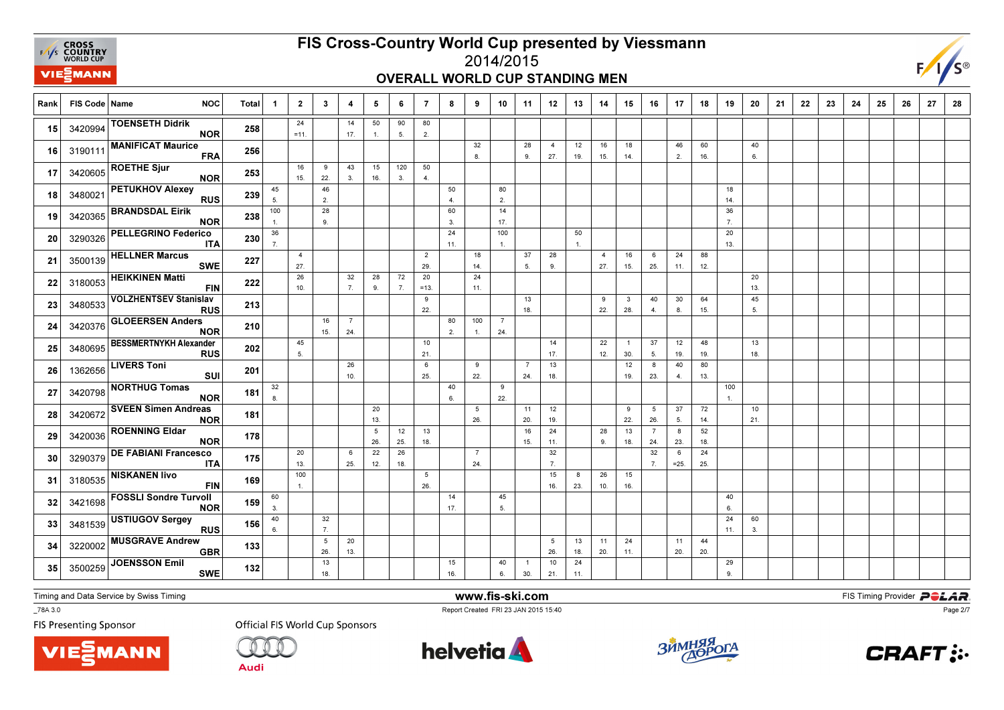

### OVERALL WORLD CUP STANDING MEN



| Rank            | FIS Code   Name | <b>NOC</b>                                  | <b>Total</b> | -1                     | $\overline{2}$        | $\mathbf{3}$           | 4                     | 5         | 6         | $\overline{7}$        | 8                    | 9                      | 10                    | 11                    | 12                    | 13                   | 14                    | 15                    | 16                    | 17          | 18        | 19        | 20        | 21 | 22 | 23 | 24 | 25 | 26 | 27 | 28 |
|-----------------|-----------------|---------------------------------------------|--------------|------------------------|-----------------------|------------------------|-----------------------|-----------|-----------|-----------------------|----------------------|------------------------|-----------------------|-----------------------|-----------------------|----------------------|-----------------------|-----------------------|-----------------------|-------------|-----------|-----------|-----------|----|----|----|----|----|----|----|----|
| 15              | 3420994         | <b>TOENSETH Didrik</b><br><b>NOR</b>        | 258          |                        | 24<br>$= 11.$         |                        | 14<br>17.             | 50<br>1.  | 90<br>5.  | 80<br>2.              |                      |                        |                       |                       |                       |                      |                       |                       |                       |             |           |           |           |    |    |    |    |    |    |    |    |
| 16              | 3190111         | <b>MANIFICAT Maurice</b><br><b>FRA</b>      | 256          |                        |                       |                        |                       |           |           |                       |                      | 32<br>8.               |                       | 28<br>9.              | $\overline{4}$<br>27. | 12<br>19.            | 16<br>15.             | 18<br>14.             |                       | 46<br>2.    | 60<br>16. |           | 40<br>6.  |    |    |    |    |    |    |    |    |
| 17              | 3420605         | <b>ROETHE Sjur</b><br><b>NOR</b>            | 253          |                        | 16<br>15.             | 9<br>22.               | 43<br>3.              | 15<br>16. | 120<br>3. | 50<br>$\overline{4}$  |                      |                        |                       |                       |                       |                      |                       |                       |                       |             |           |           |           |    |    |    |    |    |    |    |    |
| 18              | 3480021         | <b>PETUKHOV Alexey</b><br><b>RUS</b>        | 239          | 45<br>5.               |                       | 46<br>2.               |                       |           |           |                       | 50<br>$\overline{4}$ |                        | 80<br>2.              |                       |                       |                      |                       |                       |                       |             |           | 18<br>14. |           |    |    |    |    |    |    |    |    |
| 19              | 3420365         | <b>BRANDSDAL Eirik</b><br><b>NOR</b>        | 238          | 100<br>$\mathbf{1}$    |                       | 28<br>9.               |                       |           |           |                       | 60<br>3.             |                        | 14<br>17.             |                       |                       |                      |                       |                       |                       |             |           | 36<br>7.  |           |    |    |    |    |    |    |    |    |
| 20 <sup>2</sup> | 3290326         | <b>PELLEGRINO Federico</b><br><b>ITA</b>    | 230          | 36<br>$\overline{7}$ . |                       |                        |                       |           |           |                       | 24<br>11.            |                        | 100<br>$\mathbf{1}$   |                       |                       | 50<br>$\overline{1}$ |                       |                       |                       |             |           | 20<br>13. |           |    |    |    |    |    |    |    |    |
| 21              | 3500139         | <b>HELLNER Marcus</b><br><b>SWE</b>         | 227          |                        | $\overline{4}$<br>27. |                        |                       |           |           | $\overline{2}$<br>29. |                      | 18<br>14.              |                       | 37<br>5.              | 28<br>9.              |                      | $\overline{4}$<br>27. | 16<br>15.             | 6<br>25.              | 24<br>11.   | 88<br>12. |           |           |    |    |    |    |    |    |    |    |
| 22              | 3180053         | <b>HEIKKINEN Matti</b><br><b>FIN</b>        | 222          |                        | 26<br>10.             |                        | 32<br>7.              | 28<br>9.  | 72<br>7.  | 20<br>$=13.$          |                      | 24<br>11.              |                       |                       |                       |                      |                       |                       |                       |             |           |           | 20<br>13. |    |    |    |    |    |    |    |    |
| 23              | 3480533         | <b>VOLZHENTSEV Stanislav</b><br><b>RUS</b>  | 213          |                        |                       |                        |                       |           |           | 9<br>22.              |                      |                        |                       | 13<br>18.             |                       |                      | 9<br>22.              | $\mathbf{3}$<br>28.   | 40<br>4.              | 30<br>8.    | 64<br>15. |           | 45<br>5.  |    |    |    |    |    |    |    |    |
| 24              | 3420376         | <b>GLOEERSEN Anders</b><br><b>NOR</b>       | 210          |                        |                       | 16<br>15.              | $\overline{7}$<br>24. |           |           |                       | 80<br>2.             | 100<br>-1.             | $\overline{7}$<br>24. |                       |                       |                      |                       |                       |                       |             |           |           |           |    |    |    |    |    |    |    |    |
| 25              | 3480695         | <b>BESSMERTNYKH Alexander</b><br><b>RUS</b> | 202          |                        | 45<br>5.              |                        |                       |           |           | 10<br>21.             |                      |                        |                       |                       | 14<br>17.             |                      | 22<br>12.             | $\overline{1}$<br>30. | 37<br>5.              | 12<br>19.   | 48<br>19. |           | 13<br>18. |    |    |    |    |    |    |    |    |
| 26              | 1362656         | <b>LIVERS Toni</b><br><b>SUI</b>            | 201          |                        |                       |                        | 26<br>10.             |           |           | 6<br>25.              |                      | 9<br>22.               |                       | $\overline{7}$<br>24. | 13<br>18.             |                      |                       | 12<br>19.             | 8<br>23.              | 40<br>4.    | 80<br>13. |           |           |    |    |    |    |    |    |    |    |
| 27              | 3420798         | <b>NORTHUG Tomas</b><br><b>NOR</b>          | 181          | 32<br>8.               |                       |                        |                       |           |           |                       | 40<br>6.             |                        | 9<br>22.              |                       |                       |                      |                       |                       |                       |             |           | 100<br>1. |           |    |    |    |    |    |    |    |    |
| 28              | 3420672         | <b>SVEEN Simen Andreas</b><br><b>NOR</b>    | 181          |                        |                       |                        |                       | 20<br>13. |           |                       |                      | $5\phantom{.0}$<br>26. |                       | 11<br>20.             | 12<br>19.             |                      |                       | 9<br>22.              | 5<br>26.              | 37<br>5.    | 72<br>14. |           | 10<br>21. |    |    |    |    |    |    |    |    |
| 29              | 3420036         | <b>ROENNING Eldar</b><br><b>NOR</b>         | 178          |                        |                       |                        |                       | 5<br>26.  | 12<br>25. | 13<br>18.             |                      |                        |                       | 16<br>15.             | 24<br>11.             |                      | 28<br>9.              | 13<br>18.             | $\overline{7}$<br>24. | 8<br>23.    | 52<br>18. |           |           |    |    |    |    |    |    |    |    |
| 30              | 3290379         | <b>DE FABIANI Francesco</b><br><b>ITA</b>   | 175          |                        | 20<br>13.             |                        | 6<br>25.              | 22<br>12. | 26<br>18. |                       |                      | $\overline{7}$<br>24.  |                       |                       | 32<br>$\overline{7}$  |                      |                       |                       | 32<br>$\overline{7}$  | 6<br>$=25.$ | 24<br>25. |           |           |    |    |    |    |    |    |    |    |
| 31              | 3180535         | <b>NISKANEN livo</b><br><b>FIN</b>          | 169          |                        | 100<br>$\mathbf{1}$ . |                        |                       |           |           | 5<br>26.              |                      |                        |                       |                       | 15<br>16.             | 8<br>23.             | 26<br>10.             | 15<br>16.             |                       |             |           |           |           |    |    |    |    |    |    |    |    |
| 32              | 3421698         | <b>FOSSLI Sondre Turvoll</b><br><b>NOR</b>  | 159          | 60<br>3.               |                       |                        |                       |           |           |                       | 14<br>17.            |                        | 45<br>5.              |                       |                       |                      |                       |                       |                       |             |           | 40<br>6.  |           |    |    |    |    |    |    |    |    |
| 33              | 3481539         | <b>USTIUGOV Sergey</b><br><b>RUS</b>        | 156          | 40<br>6.               |                       | 32<br>$\overline{7}$ . |                       |           |           |                       |                      |                        |                       |                       |                       |                      |                       |                       |                       |             |           | 24<br>11. | 60<br>3.  |    |    |    |    |    |    |    |    |
| 34              | 3220002         | <b>MUSGRAVE Andrew</b><br><b>GBR</b>        | 133          |                        |                       | $5\phantom{1}$<br>26.  | 20<br>13.             |           |           |                       |                      |                        |                       |                       | 5<br>26.              | 13<br>18.            | 11<br>20.             | 24<br>11.             |                       | 11<br>20.   | 44<br>20. |           |           |    |    |    |    |    |    |    |    |
| 35              | 3500259         | <b>JOENSSON Emil</b><br><b>SWE</b>          | 132          |                        |                       | 13<br>18.              |                       |           |           |                       | 15<br>16.            |                        | 40<br>6.              | 30.                   | 10<br>21.             | 24<br>11.            |                       |                       |                       |             |           | 29<br>9.  |           |    |    |    |    |    |    |    |    |

Timing and Data Service by Swiss Timing

\_78A 3.0

**FIS Presenting Sponsor** 





**Official FIS World Cup Sponsors** 



www.fis-ski.com

Report Created FRI 23 JAN 2015 15:40



**m**<br>FIS Timing Provider<br>F<sup>15:40</sup>



Page 2/7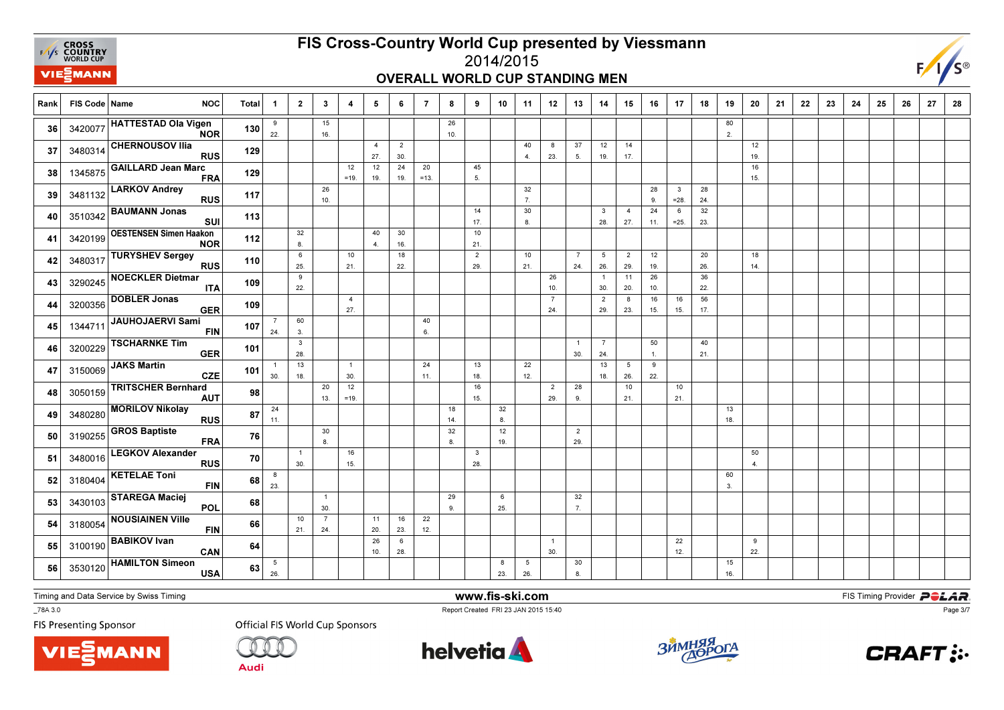

### 2014/2015OVERALL WORLD CUP STANDING MEN



| Rank | FIS Code   Name | <b>NOC</b>                                  | <b>Total</b> | -1                     | $\overline{2}$        | $\mathbf{3}$          | $\overline{4}$        | 5                     | 6                     | 7            | 8         | 9                              | 10        | 11                     | 12                    | 13                    | 14                    | 15                     | 16                 | 17                      | 18        | 19        | 20        | 21 | 22 | 23 | 24 | 25 | 26 | 27 | 28 |
|------|-----------------|---------------------------------------------|--------------|------------------------|-----------------------|-----------------------|-----------------------|-----------------------|-----------------------|--------------|-----------|--------------------------------|-----------|------------------------|-----------------------|-----------------------|-----------------------|------------------------|--------------------|-------------------------|-----------|-----------|-----------|----|----|----|----|----|----|----|----|
| 36   | 3420077         | <b>HATTESTAD Ola Vigen</b><br><b>NOR</b>    | 130          | 9<br>22.               |                       | 15<br>16.             |                       |                       |                       |              | 26<br>10. |                                |           |                        |                       |                       |                       |                        |                    |                         |           | 80<br>2.  |           |    |    |    |    |    |    |    |    |
| 37   | 3480314         | <b>CHERNOUSOV Ilia</b><br><b>RUS</b>        | 129          |                        |                       |                       |                       | $\overline{4}$<br>27. | $\overline{2}$<br>30. |              |           |                                |           | 40<br>4.               | 8<br>23.              | 37<br>5.              | 12<br>19.             | 14<br>17.              |                    |                         |           |           | 12<br>19. |    |    |    |    |    |    |    |    |
| 38   | 1345875         | <b>GAILLARD Jean Marc</b><br><b>FRA</b>     | 129          |                        |                       |                       | 12<br>$=19.$          | 12<br>19.             | 24<br>19.             | 20<br>$=13.$ |           | 45<br>5.                       |           |                        |                       |                       |                       |                        |                    |                         |           |           | 16<br>15. |    |    |    |    |    |    |    |    |
| 39   | 3481132         | <b>LARKOV Andrey</b><br><b>RUS</b>          | 117          |                        |                       | 26<br>10.             |                       |                       |                       |              |           |                                |           | 32<br>$\overline{7}$ . |                       |                       |                       |                        | 28<br>9.           | $\mathbf{3}$<br>$= 28.$ | 28<br>24. |           |           |    |    |    |    |    |    |    |    |
| 40   | 3510342         | <b>BAUMANN Jonas</b><br>SUI                 | 113          |                        |                       |                       |                       |                       |                       |              |           | 14<br>17.                      |           | 30<br>8.               |                       |                       | $\mathbf{3}$<br>28    | $\overline{4}$<br>27.  | 24<br>11.          | 6<br>$=25.$             | 32<br>23. |           |           |    |    |    |    |    |    |    |    |
| 41   | 3420199         | <b>OESTENSEN Simen Haakon</b><br><b>NOR</b> | 112          |                        | $32\,$<br>8.          |                       |                       | 40<br>4.              | 30<br>16.             |              |           | 10<br>21.                      |           |                        |                       |                       |                       |                        |                    |                         |           |           |           |    |    |    |    |    |    |    |    |
| 42   | 3480317         | <b>TURYSHEV Sergey</b><br><b>RUS</b>        | 110          |                        | 6<br>25.              |                       | 10<br>21.             |                       | 18<br>22.             |              |           | $\overline{2}$<br>29.          |           | 10<br>21.              |                       | $\overline{7}$<br>24. | $5\phantom{.0}$<br>26 | $\overline{2}$<br>29.  | 12<br>19.          |                         | 20<br>26. |           | 18<br>14. |    |    |    |    |    |    |    |    |
| 43   | 3290245         | <b>NOECKLER Dietmar</b><br><b>ITA</b>       | 109          |                        | 9<br>22.              |                       |                       |                       |                       |              |           |                                |           |                        | 26<br>10.             |                       | $\overline{1}$<br>30  | 11<br>20.              | 26<br>10.          |                         | 36<br>22. |           |           |    |    |    |    |    |    |    |    |
| 44   | 3200356         | <b>DOBLER Jonas</b><br><b>GER</b>           | 109          |                        |                       |                       | $\overline{4}$<br>27. |                       |                       |              |           |                                |           |                        | $\overline{7}$<br>24. |                       | $\overline{2}$<br>29. | 8<br>23.               | 16<br>15.          | 16<br>15.               | 56<br>17. |           |           |    |    |    |    |    |    |    |    |
| 45   | 1344711         | <b>JAUHOJAERVI Sami</b><br><b>FIN</b>       | 107          | $\overline{7}$<br>24.  | 60<br>3.              |                       |                       |                       |                       | 40<br>6.     |           |                                |           |                        |                       |                       |                       |                        |                    |                         |           |           |           |    |    |    |    |    |    |    |    |
| 46   | 3200229         | <b>TSCHARNKE Tim</b><br><b>GER</b>          | 101          |                        | $\mathbf{3}$<br>28.   |                       |                       |                       |                       |              |           |                                |           |                        |                       | $\overline{1}$<br>30. | $\overline{7}$<br>24. |                        | 50<br>$\mathbf{1}$ |                         | 40<br>21. |           |           |    |    |    |    |    |    |    |    |
| 47   | 3150069         | <b>JAKS Martin</b><br><b>CZE</b>            | 101          | $\overline{1}$<br>30.  | 13<br>18.             |                       | $\overline{1}$<br>30. |                       |                       | 24<br>11.    |           | 13<br>18.                      |           | 22<br>12.              |                       |                       | 13<br>18.             | $5\overline{5}$<br>26. | 9<br>22.           |                         |           |           |           |    |    |    |    |    |    |    |    |
| 48   | 3050159         | <b>TRITSCHER Bernhard</b><br><b>AUT</b>     | 98           |                        |                       | 20<br>13.             | 12<br>$=19.$          |                       |                       |              |           | 16<br>15.                      |           |                        | $\overline{2}$<br>29. | 28<br>9.              |                       | 10<br>21.              |                    | 10<br>21.               |           |           |           |    |    |    |    |    |    |    |    |
| 49   | 3480280         | <b>MORILOV Nikolay</b><br><b>RUS</b>        | 87           | 24<br>11.              |                       |                       |                       |                       |                       |              | 18<br>14. |                                | 32<br>8.  |                        |                       |                       |                       |                        |                    |                         |           | 13<br>18. |           |    |    |    |    |    |    |    |    |
| 50   | 3190255         | <b>GROS Baptiste</b><br><b>FRA</b>          | 76           |                        |                       | 30<br>8.              |                       |                       |                       |              | 32<br>8.  |                                | 12<br>19. |                        |                       | $\overline{2}$<br>29. |                       |                        |                    |                         |           |           |           |    |    |    |    |    |    |    |    |
| 51   | 3480016         | <b>LEGKOV Alexander</b><br><b>RUS</b>       | 70           |                        | $\overline{1}$<br>30. |                       | 16<br>15.             |                       |                       |              |           | $\overline{\mathbf{3}}$<br>28. |           |                        |                       |                       |                       |                        |                    |                         |           |           | 50<br>4.  |    |    |    |    |    |    |    |    |
| 52   | 3180404         | <b>KETELAE Toni</b><br><b>FIN</b>           | 68           | 8<br>23.               |                       |                       |                       |                       |                       |              |           |                                |           |                        |                       |                       |                       |                        |                    |                         |           | 60<br>3.  |           |    |    |    |    |    |    |    |    |
| 53   | 3430103         | <b>STAREGA Maciej</b><br>POL                | 68           |                        |                       | $\overline{1}$<br>30. |                       |                       |                       |              | 29<br>9.  |                                | 6<br>25.  |                        |                       | 32<br>7.              |                       |                        |                    |                         |           |           |           |    |    |    |    |    |    |    |    |
| 54   | 3180054         | <b>NOUSIAINEN Ville</b><br><b>FIN</b>       | 66           |                        | 10<br>21.             | $\overline{7}$<br>24. |                       | 11<br>20.             | 16<br>23.             | 22<br>12.    |           |                                |           |                        |                       |                       |                       |                        |                    |                         |           |           |           |    |    |    |    |    |    |    |    |
| 55   | 3100190         | <b>BABIKOV Ivan</b><br>CAN                  | 64           |                        |                       |                       |                       | 26<br>10.             | 6<br>28.              |              |           |                                |           |                        | $\overline{1}$<br>30. |                       |                       |                        |                    | 22<br>12.               |           |           | 9<br>22.  |    |    |    |    |    |    |    |    |
| 56   | 3530120         | <b>HAMILTON Simeon</b><br><b>USA</b>        | 63           | $5\phantom{.0}$<br>26. |                       |                       |                       |                       |                       |              |           |                                | 8<br>23.  | $\sqrt{5}$<br>26.      |                       | 30<br>8.              |                       |                        |                    |                         |           | 15<br>16. |           |    |    |    |    |    |    |    |    |

Timing and Data Service by Swiss Timing

VIEZMANN

\_78A 3.0

**FIS Presenting Sponsor** 

**Official FIS World Cup Sponsors** 

**Audi** 



www.fis-ski.com

Report Created FRI 23 JAN 2015 15:40



**m**<br>FIS Timing Provider<br>F<sup>15:40</sup>



Page 3/7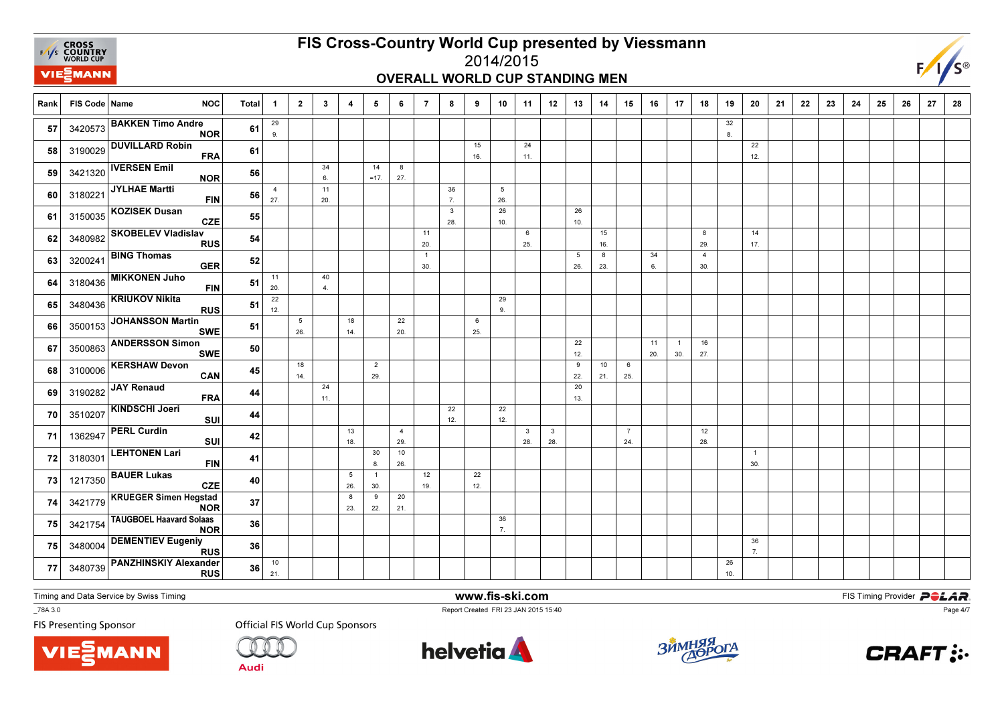

## OVERALL WORLD CUP STANDING MEN



| Rank | FIS Code   Name | <b>NOC</b>                                   | <b>Total</b> | $\mathbf 1$           | $\overline{2}$         | $\mathbf{3}$ | $\overline{\mathbf{4}}$ | 5                     | 6                     | $\overline{7}$        | 8                   | 9         | 10        | 11                  | 12                  | 13                     | 14        | 15                   | 16        | 17                    | 18                    | 19        | 20                    | 21 | 22 | 23 | 24 | 25 | 26 | 27 | 28 |
|------|-----------------|----------------------------------------------|--------------|-----------------------|------------------------|--------------|-------------------------|-----------------------|-----------------------|-----------------------|---------------------|-----------|-----------|---------------------|---------------------|------------------------|-----------|----------------------|-----------|-----------------------|-----------------------|-----------|-----------------------|----|----|----|----|----|----|----|----|
| 57   |                 | 3420573 BAKKEN Timo Andre<br><b>NOR</b>      | 61           | 29<br>9.              |                        |              |                         |                       |                       |                       |                     |           |           |                     |                     |                        |           |                      |           |                       |                       | 32<br>8.  |                       |    |    |    |    |    |    |    |    |
| 58   | 3190029         | <b>DUVILLARD Robin</b><br><b>FRA</b>         | 61           |                       |                        |              |                         |                       |                       |                       |                     | 15<br>16. |           | 24<br>11.           |                     |                        |           |                      |           |                       |                       |           | 22<br>12.             |    |    |    |    |    |    |    |    |
| 59   | 3421320         | <b>IVERSEN Emil</b><br><b>NOR</b>            | 56           |                       |                        | 34<br>6.     |                         | 14<br>$=17.$          | 8<br>27.              |                       |                     |           |           |                     |                     |                        |           |                      |           |                       |                       |           |                       |    |    |    |    |    |    |    |    |
| 60   | 3180221         | JYLHAE Martti<br><b>FIN</b>                  | 56           | $\overline{4}$<br>27. |                        | 11<br>20.    |                         |                       |                       |                       | 36<br>7.            |           | 5<br>26.  |                     |                     |                        |           |                      |           |                       |                       |           |                       |    |    |    |    |    |    |    |    |
| 61   | 3150035         | <b>KOZISEK Dusan</b><br><b>CZE</b>           | 55           |                       |                        |              |                         |                       |                       |                       | $\mathbf{3}$<br>28. |           | 26<br>10. |                     |                     | 26<br>10.              |           |                      |           |                       |                       |           |                       |    |    |    |    |    |    |    |    |
| 62   | 3480982         | <b>SKOBELEV Vladislav</b><br><b>RUS</b>      | 54           |                       |                        |              |                         |                       |                       | 11<br>20.             |                     |           |           | 6<br>25.            |                     |                        | 15<br>16. |                      |           |                       | 8<br>29.              |           | 14<br>17.             |    |    |    |    |    |    |    |    |
| 63   | 3200241         | <b>BING Thomas</b><br><b>GER</b>             | 52           |                       |                        |              |                         |                       |                       | $\overline{1}$<br>30. |                     |           |           |                     |                     | $5\phantom{.0}$<br>26. | 8<br>23.  |                      | 34<br>6.  |                       | $\overline{4}$<br>30. |           |                       |    |    |    |    |    |    |    |    |
| 64   | 3180436         | <b>MIKKONEN Juho</b><br><b>FIN</b>           | 51           | 11<br>20.             |                        | 40<br>4.     |                         |                       |                       |                       |                     |           |           |                     |                     |                        |           |                      |           |                       |                       |           |                       |    |    |    |    |    |    |    |    |
| 65   | 3480436         | <b>KRIUKOV Nikita</b><br><b>RUS</b>          | 51           | 22<br>12.             |                        |              |                         |                       |                       |                       |                     |           | 29<br>9.  |                     |                     |                        |           |                      |           |                       |                       |           |                       |    |    |    |    |    |    |    |    |
| 66   | 3500153         | <b>JOHANSSON Martin</b><br><b>SWE</b>        | 51           |                       | $5\phantom{.0}$<br>26. |              | 18<br>14.               |                       | 22<br>20.             |                       |                     | 6<br>25.  |           |                     |                     |                        |           |                      |           |                       |                       |           |                       |    |    |    |    |    |    |    |    |
| 67   | 3500863         | <b>ANDERSSON Simon</b><br><b>SWE</b>         | 50           |                       |                        |              |                         |                       |                       |                       |                     |           |           |                     |                     | 22<br>12.              |           |                      | 11<br>20. | $\overline{1}$<br>30. | 16<br>27.             |           |                       |    |    |    |    |    |    |    |    |
| 68   | 3100006         | <b>KERSHAW Devon</b><br>CAN                  | 45           |                       | 18<br>14.              |              |                         | $\overline{2}$<br>29. |                       |                       |                     |           |           |                     |                     | 9<br>22.               | 10<br>21. | 6<br>25.             |           |                       |                       |           |                       |    |    |    |    |    |    |    |    |
| 69   | 3190282         | <b>JAY Renaud</b><br><b>FRA</b>              | 44           |                       |                        | 24<br>11.    |                         |                       |                       |                       |                     |           |           |                     |                     | 20<br>13.              |           |                      |           |                       |                       |           |                       |    |    |    |    |    |    |    |    |
| 70   | 3510207         | <b>KINDSCHI Joeri</b><br>SUI                 | 44           |                       |                        |              |                         |                       |                       |                       | 22<br>12.           |           | 22<br>12. |                     |                     |                        |           |                      |           |                       |                       |           |                       |    |    |    |    |    |    |    |    |
| 71   | 1362947         | <b>PERL Curdin</b><br>SUI                    | 42           |                       |                        |              | 13<br>18.               |                       | $\overline{4}$<br>29. |                       |                     |           |           | $\mathbf{3}$<br>28. | $\mathbf{3}$<br>28. |                        |           | $\overline{7}$<br>24 |           |                       | 12<br>28.             |           |                       |    |    |    |    |    |    |    |    |
| 72   | 3180301         | <b>LEHTONEN Lari</b><br><b>FIN</b>           | 41           |                       |                        |              |                         | 30<br>8.              | 10<br>26.             |                       |                     |           |           |                     |                     |                        |           |                      |           |                       |                       |           | $\overline{1}$<br>30. |    |    |    |    |    |    |    |    |
| 73   | 1217350         | <b>BAUER Lukas</b><br>CZE                    | 40           |                       |                        |              | 5<br>26.                | $\overline{1}$<br>30. |                       | 12<br>19.             |                     | 22<br>12. |           |                     |                     |                        |           |                      |           |                       |                       |           |                       |    |    |    |    |    |    |    |    |
| 74   | 3421779         | <b>KRUEGER Simen Hegstad</b><br><b>NOR</b>   | 37           |                       |                        |              | 8<br>23.                | 9<br>22.              | 20<br>21.             |                       |                     |           |           |                     |                     |                        |           |                      |           |                       |                       |           |                       |    |    |    |    |    |    |    |    |
| 75   | 3421754         | <b>TAUGBOEL Haavard Solaas</b><br><b>NOR</b> | 36           |                       |                        |              |                         |                       |                       |                       |                     |           | 36<br>7.  |                     |                     |                        |           |                      |           |                       |                       |           |                       |    |    |    |    |    |    |    |    |
| 75   | 3480004         | <b>DEMENTIEV Eugeniy</b><br><b>RUS</b>       | 36           |                       |                        |              |                         |                       |                       |                       |                     |           |           |                     |                     |                        |           |                      |           |                       |                       |           | 36<br>7.              |    |    |    |    |    |    |    |    |
| 77   | 3480739         | <b>PANZHINSKIY Alexander</b><br><b>RUS</b>   | 36           | $10\,$<br>21.         |                        |              |                         |                       |                       |                       |                     |           |           |                     |                     |                        |           |                      |           |                       |                       | 26<br>10. |                       |    |    |    |    |    |    |    |    |

Timing and Data Service by Swiss Timing

VIEZMANN

\_78A 3.0

**FIS Presenting Sponsor** 

**Official FIS World Cup Sponsors** 

**Audi** 



www.fis-ski.com

Report Created FRI 23 JAN 2015 15:40



**m**<br>FIS Timing Provider<br>F<sup>15:40</sup>



Page 4/7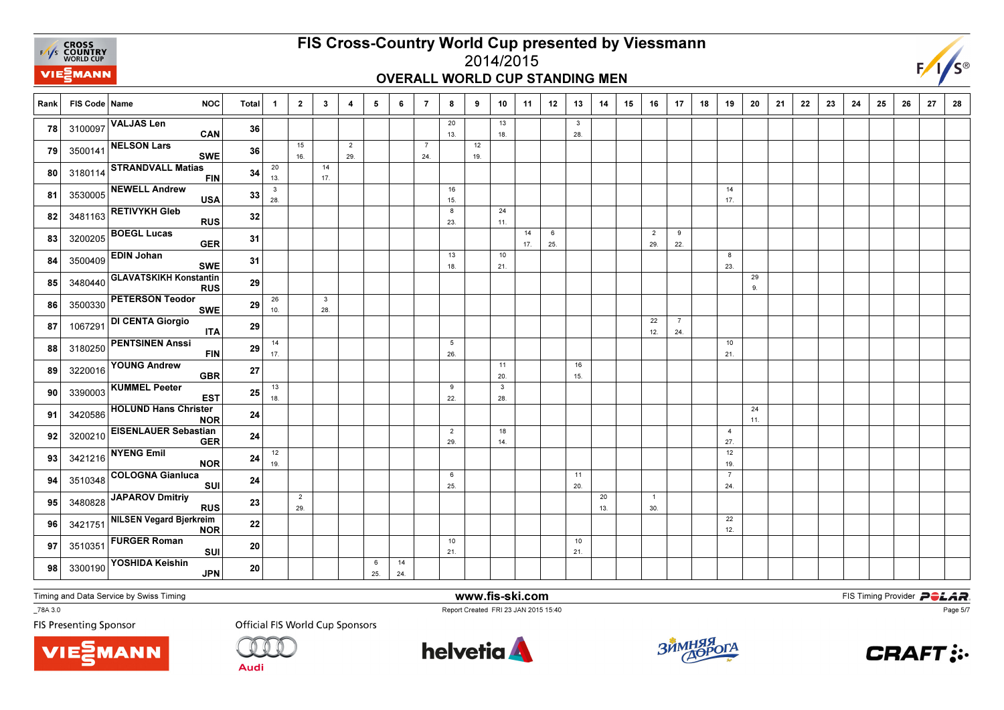

## OVERALL WORLD CUP STANDING MEN



| Rank | FIS Code   Name | <b>NOC</b>                                   | Total      | $\mathbf{1}$        | $\overline{2}$        | $\mathbf{3}$                   | 4                     | 5        | 6         | $\overline{7}$        | 8                     | 9         | 10                  | 11        | 12       | 13                  | 14        | 15 | 16                    | 17                    | 18 | 19                    | 20        | 21 | 22 | 23 | 24 | 25 | 26 | 27 | 28 |
|------|-----------------|----------------------------------------------|------------|---------------------|-----------------------|--------------------------------|-----------------------|----------|-----------|-----------------------|-----------------------|-----------|---------------------|-----------|----------|---------------------|-----------|----|-----------------------|-----------------------|----|-----------------------|-----------|----|----|----|----|----|----|----|----|
| 78   | 3100097         | <b>VALJAS Len</b><br>CAN                     | 36         |                     |                       |                                |                       |          |           |                       | 20<br>13.             |           | 13<br>18.           |           |          | $\mathbf{3}$<br>28. |           |    |                       |                       |    |                       |           |    |    |    |    |    |    |    |    |
| 79   | 3500141         | <b>NELSON Lars</b><br><b>SWE</b>             | 36         |                     | 15<br>16.             |                                | $\overline{2}$<br>29. |          |           | $\overline{7}$<br>24. |                       | 12<br>19. |                     |           |          |                     |           |    |                       |                       |    |                       |           |    |    |    |    |    |    |    |    |
| 80   | 3180114         | <b>STRANDVALL Matias</b><br><b>FIN</b>       | 34         | 20<br>13.           |                       | 14<br>17.                      |                       |          |           |                       |                       |           |                     |           |          |                     |           |    |                       |                       |    |                       |           |    |    |    |    |    |    |    |    |
| 81   | 3530005         | NEWELL Andrew<br><b>USA</b>                  | 33         | $\mathbf{3}$<br>28. |                       |                                |                       |          |           |                       | 16<br>15.             |           |                     |           |          |                     |           |    |                       |                       |    | 14<br>17.             |           |    |    |    |    |    |    |    |    |
| 82   | 3481163         | <b>RETIVYKH Gleb</b><br><b>RUS</b>           | 32         |                     |                       |                                |                       |          |           |                       | 8<br>23.              |           | 24<br>11.           |           |          |                     |           |    |                       |                       |    |                       |           |    |    |    |    |    |    |    |    |
| 83   | 3200205         | <b>BOEGL Lucas</b><br><b>GER</b>             | 31         |                     |                       |                                |                       |          |           |                       |                       |           |                     | 14<br>17. | 6<br>25. |                     |           |    | $\overline{2}$<br>29. | 9<br>22.              |    |                       |           |    |    |    |    |    |    |    |    |
| 84   | 3500409         | <b>EDIN Johan</b><br><b>SWE</b>              | 31         |                     |                       |                                |                       |          |           |                       | 13<br>18.             |           | 10<br>21.           |           |          |                     |           |    |                       |                       |    | 8<br>23.              |           |    |    |    |    |    |    |    |    |
| 85   | 3480440         | <b>GLAVATSKIKH Konstantin</b><br><b>RUS</b>  | 29         |                     |                       |                                |                       |          |           |                       |                       |           |                     |           |          |                     |           |    |                       |                       |    |                       | 29<br>9.  |    |    |    |    |    |    |    |    |
| 86   | 3500330         | <b>PETERSON Teodor</b><br><b>SWE</b>         | 29         | 26<br>10.           |                       | $\overline{\mathbf{3}}$<br>28. |                       |          |           |                       |                       |           |                     |           |          |                     |           |    |                       |                       |    |                       |           |    |    |    |    |    |    |    |    |
| 87   | 1067291         | <b>DI CENTA Giorgio</b><br><b>ITA</b>        | 29         |                     |                       |                                |                       |          |           |                       |                       |           |                     |           |          |                     |           |    | 22<br>12.             | $\overline{7}$<br>24. |    |                       |           |    |    |    |    |    |    |    |    |
| 88   | 3180250         | <b>PENTSINEN Anssi</b><br><b>FIN</b>         | 29         | 14<br>17.           |                       |                                |                       |          |           |                       | 5<br>26.              |           |                     |           |          |                     |           |    |                       |                       |    | 10<br>21.             |           |    |    |    |    |    |    |    |    |
| 89   | 3220016         | <b>YOUNG Andrew</b><br><b>GBR</b>            | ${\bf 27}$ |                     |                       |                                |                       |          |           |                       |                       |           | 11<br>20.           |           |          | 16<br>15.           |           |    |                       |                       |    |                       |           |    |    |    |    |    |    |    |    |
| 90   | 3390003         | <b>KUMMEL Peeter</b><br><b>EST</b>           | 25         | 13<br>18.           |                       |                                |                       |          |           |                       | 9<br>22.              |           | $\mathbf{3}$<br>28. |           |          |                     |           |    |                       |                       |    |                       |           |    |    |    |    |    |    |    |    |
| 91   | 3420586         | <b>HOLUND Hans Christer</b><br><b>NOR</b>    | 24         |                     |                       |                                |                       |          |           |                       |                       |           |                     |           |          |                     |           |    |                       |                       |    |                       | 24<br>11. |    |    |    |    |    |    |    |    |
| 92   | 3200210         | <b>EISENLAUER Sebastian</b><br><b>GER</b>    | 24         |                     |                       |                                |                       |          |           |                       | $\overline{2}$<br>29. |           | 18<br>14.           |           |          |                     |           |    |                       |                       |    | $\overline{4}$<br>27. |           |    |    |    |    |    |    |    |    |
| 93   | 3421216         | <b>NYENG Emil</b><br><b>NOR</b>              | 24         | $12\,$<br>19.       |                       |                                |                       |          |           |                       |                       |           |                     |           |          |                     |           |    |                       |                       |    | 12<br>19.             |           |    |    |    |    |    |    |    |    |
| 94   | 3510348         | <b>COLOGNA Gianluca</b><br><b>SUI</b>        | 24         |                     |                       |                                |                       |          |           |                       | 6<br>25.              |           |                     |           |          | 11<br>20.           |           |    |                       |                       |    | $\overline{7}$<br>24. |           |    |    |    |    |    |    |    |    |
| 95   | 3480828         | <b>JAPAROV Dmitriy</b><br><b>RUS</b>         | 23         |                     | $\overline{2}$<br>29. |                                |                       |          |           |                       |                       |           |                     |           |          |                     | 20<br>13. |    | $\overline{1}$<br>30. |                       |    |                       |           |    |    |    |    |    |    |    |    |
| 96   | 3421751         | <b>NILSEN Vegard Bjerkreim</b><br><b>NOR</b> | 22         |                     |                       |                                |                       |          |           |                       |                       |           |                     |           |          |                     |           |    |                       |                       |    | 22<br>12.             |           |    |    |    |    |    |    |    |    |
| 97   | 3510351         | <b>FURGER Roman</b><br>SUI                   | 20         |                     |                       |                                |                       |          |           |                       | 10<br>21.             |           |                     |           |          | 10<br>21.           |           |    |                       |                       |    |                       |           |    |    |    |    |    |    |    |    |
| 98   | 3300190         | YOSHIDA Keishin<br><b>JPN</b>                | 20         |                     |                       |                                |                       | 6<br>25. | 14<br>24. |                       |                       |           |                     |           |          |                     |           |    |                       |                       |    |                       |           |    |    |    |    |    |    |    |    |

Timing and Data Service by Swiss Timing

VIEZMANN

\_78A 3.0

**FIS Presenting Sponsor** 

**Official FIS World Cup Sponsors** 

**Audi** 



www.fis-ski.com

Report Created FRI 23 JAN 2015 15:40



**m**<br>FIS Timing Provider<br>F<sup>15:40</sup>



Page 5/7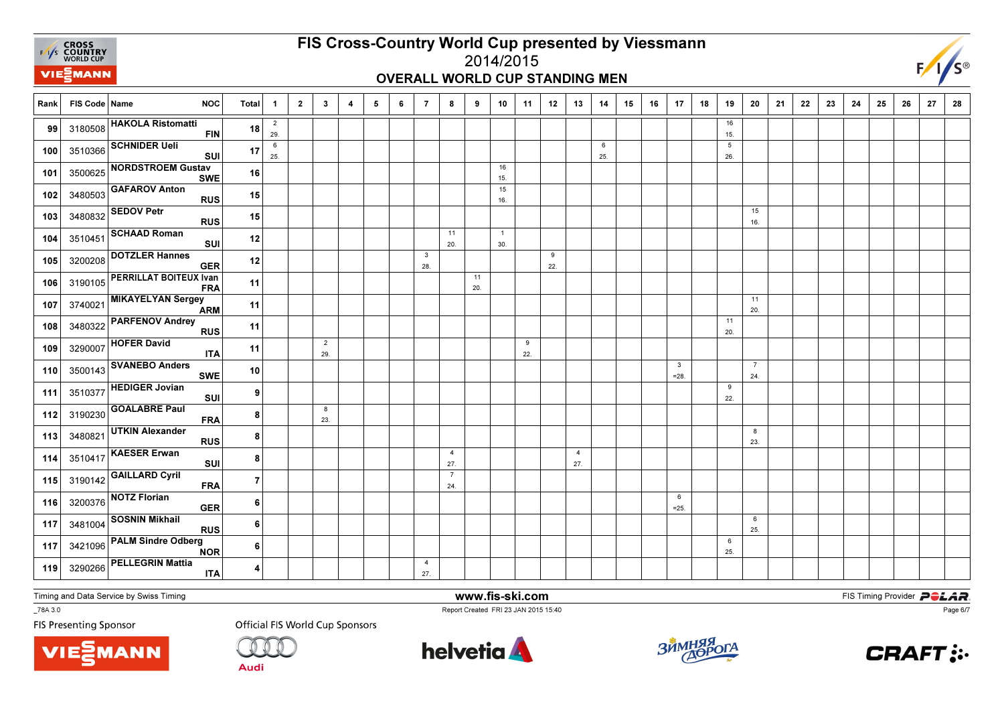

## OVERALL WORLD CUP STANDING MEN



| Rank | FIS Code Name | <b>NOC</b>                                  | <b>Total</b>            | $\mathbf{1}$          | $\overline{2}$ | $\mathbf{3}$          | 4 | 5 | 6 | $\overline{7}$        | 8                     | 9         | 10                    | 11       | 12       | 13                    | 14       | 15 | 16 | 17                      | 18 | 19                     | 20                    | 21 | 22 | 23 | 24 | 25 | 26 | 27 | 28 |
|------|---------------|---------------------------------------------|-------------------------|-----------------------|----------------|-----------------------|---|---|---|-----------------------|-----------------------|-----------|-----------------------|----------|----------|-----------------------|----------|----|----|-------------------------|----|------------------------|-----------------------|----|----|----|----|----|----|----|----|
| 99   |               | 3180508 HAKOLA Ristomatti<br><b>FIN</b>     | 18                      | $\overline{2}$<br>29. |                |                       |   |   |   |                       |                       |           |                       |          |          |                       |          |    |    |                         |    | 16<br>15.              |                       |    |    |    |    |    |    |    |    |
| 100  | 3510366       | <b>SCHNIDER Ueli</b><br><b>SUI</b>          | 17                      | $\,6\,$<br>25.        |                |                       |   |   |   |                       |                       |           |                       |          |          |                       | 6<br>25. |    |    |                         |    | $5\phantom{.0}$<br>26. |                       |    |    |    |    |    |    |    |    |
| 101  | 3500625       | <b>NORDSTROEM Gustav</b><br><b>SWE</b>      | 16                      |                       |                |                       |   |   |   |                       |                       |           | 16<br>15.             |          |          |                       |          |    |    |                         |    |                        |                       |    |    |    |    |    |    |    |    |
| 102  | 3480503       | <b>GAFAROV Anton</b><br><b>RUS</b>          | 15                      |                       |                |                       |   |   |   |                       |                       |           | 15<br>16.             |          |          |                       |          |    |    |                         |    |                        |                       |    |    |    |    |    |    |    |    |
| 103  | 3480832       | <b>SEDOV Petr</b><br><b>RUS</b>             | 15                      |                       |                |                       |   |   |   |                       |                       |           |                       |          |          |                       |          |    |    |                         |    |                        | 15<br>16.             |    |    |    |    |    |    |    |    |
| 104  | 3510451       | <b>SCHAAD Roman</b><br><b>SUI</b>           | $12$                    |                       |                |                       |   |   |   |                       | 11<br>20.             |           | $\overline{1}$<br>30. |          |          |                       |          |    |    |                         |    |                        |                       |    |    |    |    |    |    |    |    |
| 105  | 3200208       | <b>DOTZLER Hannes</b><br><b>GER</b>         | 12                      |                       |                |                       |   |   |   | $\mathbf{3}$<br>28.   |                       |           |                       |          | 9<br>22. |                       |          |    |    |                         |    |                        |                       |    |    |    |    |    |    |    |    |
| 106  | 3190105       | <b>PERRILLAT BOITEUX Ivan</b><br><b>FRA</b> | 11                      |                       |                |                       |   |   |   |                       |                       | 11<br>20. |                       |          |          |                       |          |    |    |                         |    |                        |                       |    |    |    |    |    |    |    |    |
| 107  | 3740021       | <b>MIKAYELYAN Sergey</b><br><b>ARM</b>      | 11                      |                       |                |                       |   |   |   |                       |                       |           |                       |          |          |                       |          |    |    |                         |    |                        | 11<br>20.             |    |    |    |    |    |    |    |    |
| 108  | 3480322       | <b>PARFENOV Andrey</b><br><b>RUS</b>        | 11                      |                       |                |                       |   |   |   |                       |                       |           |                       |          |          |                       |          |    |    |                         |    | 11<br>20.              |                       |    |    |    |    |    |    |    |    |
| 109  |               | 3290007 HOFER David<br><b>ITA</b>           | 11                      |                       |                | $\overline{2}$<br>29. |   |   |   |                       |                       |           |                       | 9<br>22. |          |                       |          |    |    |                         |    |                        |                       |    |    |    |    |    |    |    |    |
| 110  | 3500143       | <b>SVANEBO Anders</b><br><b>SWE</b>         | $10$                    |                       |                |                       |   |   |   |                       |                       |           |                       |          |          |                       |          |    |    | $\mathbf{3}$<br>$= 28.$ |    |                        | $\overline{7}$<br>24. |    |    |    |    |    |    |    |    |
| 111  | 3510377       | <b>HEDIGER Jovian</b><br>SUI                | 9                       |                       |                |                       |   |   |   |                       |                       |           |                       |          |          |                       |          |    |    |                         |    | 9<br>22.               |                       |    |    |    |    |    |    |    |    |
| 112  | 3190230       | <b>GOALABRE Paul</b><br><b>FRA</b>          | 8                       |                       |                | 8<br>23.              |   |   |   |                       |                       |           |                       |          |          |                       |          |    |    |                         |    |                        |                       |    |    |    |    |    |    |    |    |
| 113  | 3480821       | <b>UTKIN Alexander</b><br><b>RUS</b>        | 8                       |                       |                |                       |   |   |   |                       |                       |           |                       |          |          |                       |          |    |    |                         |    |                        | 8<br>23.              |    |    |    |    |    |    |    |    |
| 114  | 3510417       | <b>KAESER Erwan</b><br><b>SUI</b>           | 8                       |                       |                |                       |   |   |   |                       | $\overline{4}$<br>27. |           |                       |          |          | $\overline{4}$<br>27. |          |    |    |                         |    |                        |                       |    |    |    |    |    |    |    |    |
| 115  | 3190142       | <b>GAILLARD Cyril</b><br><b>FRA</b>         | $\overline{7}$          |                       |                |                       |   |   |   |                       | $\overline{7}$<br>24. |           |                       |          |          |                       |          |    |    |                         |    |                        |                       |    |    |    |    |    |    |    |    |
| 116  | 3200376       | <b>NOTZ Florian</b><br><b>GER</b>           | 6                       |                       |                |                       |   |   |   |                       |                       |           |                       |          |          |                       |          |    |    | 6<br>$=25.$             |    |                        |                       |    |    |    |    |    |    |    |    |
| 117  | 3481004       | <b>SOSNIN Mikhail</b><br><b>RUS</b>         | 6                       |                       |                |                       |   |   |   |                       |                       |           |                       |          |          |                       |          |    |    |                         |    |                        | 6<br>25.              |    |    |    |    |    |    |    |    |
| 117  | 3421096       | <b>PALM Sindre Odberg</b><br><b>NOR</b>     | 6                       |                       |                |                       |   |   |   |                       |                       |           |                       |          |          |                       |          |    |    |                         |    | 6<br>25.               |                       |    |    |    |    |    |    |    |    |
| 119  | 3290266       | <b>PELLEGRIN Mattia</b><br><b>ITA</b>       | $\overline{\mathbf{4}}$ |                       |                |                       |   |   |   | $\overline{4}$<br>27. |                       |           |                       |          |          |                       |          |    |    |                         |    |                        |                       |    |    |    |    |    |    |    |    |

Timing and Data Service by Swiss Timing

VIEZMANN

\_78A 3.0

**FIS Presenting Sponsor** 

**Official FIS World Cup Sponsors** 

**Audi** 



www.fis-ski.com

Report Created FRI 23 JAN 2015 15:40



**m**<br>FIS Timing Provider<br>F<sup>15:40</sup>



Page 6/7